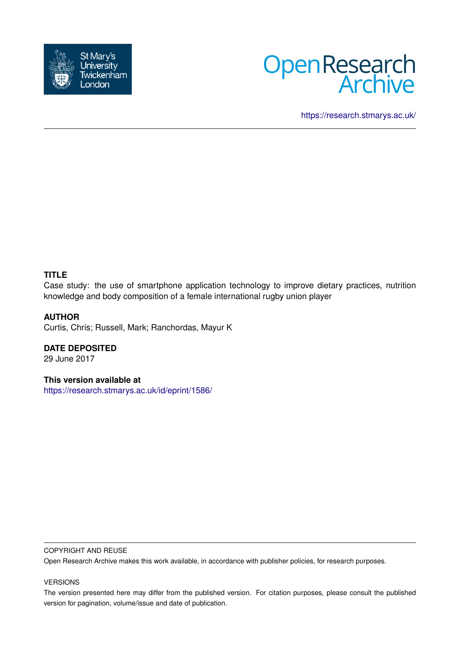



<https://research.stmarys.ac.uk/>

#### **TITLE**

Case study: the use of smartphone application technology to improve dietary practices, nutrition knowledge and body composition of a female international rugby union player

### **AUTHOR**

Curtis, Chris; Russell, Mark; Ranchordas, Mayur K

**DATE DEPOSITED** 29 June 2017

**This version available at**

<https://research.stmarys.ac.uk/id/eprint/1586/>

#### COPYRIGHT AND REUSE

Open Research Archive makes this work available, in accordance with publisher policies, for research purposes.

#### VERSIONS

The version presented here may differ from the published version. For citation purposes, please consult the published version for pagination, volume/issue and date of publication.